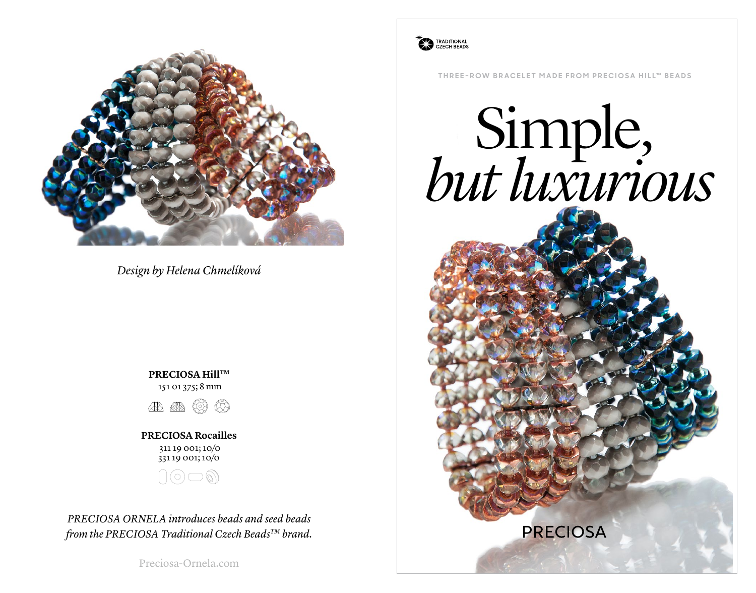

*Design by Helena Chmelíková*

**PRECIOSA HillTM** 151 01 375; 8 mm



**PRECIOSA Rocailles** 311 19 001; 10/0 331 19 001; 10/0



*PRECIOSA ORNELA introduces beads and seed beads from the PRECIOSA Traditional Czech BeadsTM brand.*

Preciosa-Ornela.com



**THREE-ROW BRACELET MADE FROM PRECIOSA HILL™ BEADS** 

# Simple, *but luxurious*

**PRECIOSA**